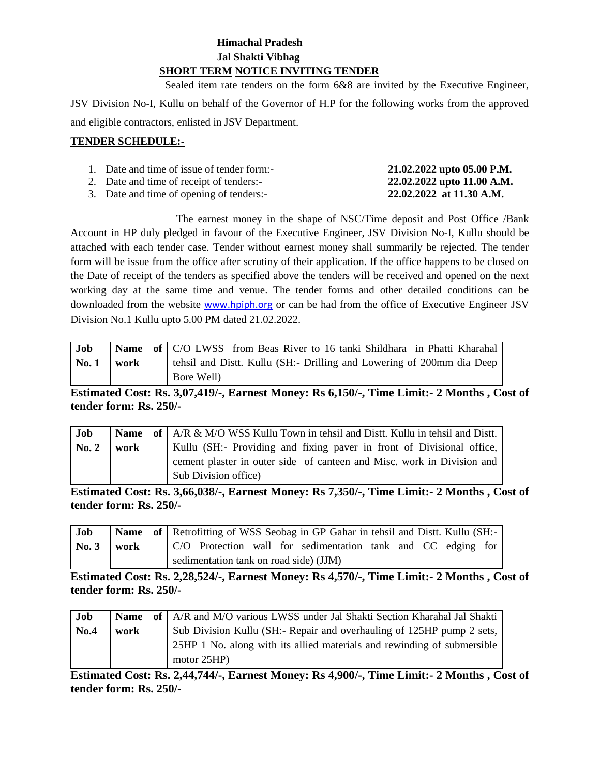# **Himachal Pradesh Jal Shakti Vibhag SHORT TERM NOTICE INVITING TENDER**

Sealed item rate tenders on the form 6&8 are invited by the Executive Engineer,

JSV Division No-I, Kullu on behalf of the Governor of H.P for the following works from the approved and eligible contractors, enlisted in JSV Department.

#### **TENDER SCHEDULE:-**

| 1. Date and time of issue of tender form:- | 21.02.2022 upto 05.00 P.M. |
|--------------------------------------------|----------------------------|
| 2. Date and time of receipt of tenders:-   | 22.02.2022 upto 11.00 A.M. |
| 3. Date and time of opening of tenders:-   | 22.02.2022 at 11.30 A.M.   |

The earnest money in the shape of NSC/Time deposit and Post Office /Bank Account in HP duly pledged in favour of the Executive Engineer, JSV Division No-I, Kullu should be attached with each tender case. Tender without earnest money shall summarily be rejected. The tender form will be issue from the office after scrutiny of their application. If the office happens to be closed on the Date of receipt of the tenders as specified above the tenders will be received and opened on the next working day at the same time and venue. The tender forms and other detailed conditions can be downloaded from the website [www.hpiph.org](http://www.hpiph.org/) or can be had from the office of Executive Engineer JSV Division No.1 Kullu upto 5.00 PM dated 21.02.2022.

| Job   |      | Name of   C/O LWSS from Beas River to 16 tanki Shildhara in Phatti Kharahal |
|-------|------|-----------------------------------------------------------------------------|
| No. 1 | work | tehsil and Distt. Kullu (SH:- Drilling and Lowering of 200mm dia Deep       |
|       |      | Bore Well)                                                                  |

**Estimated Cost: Rs. 3,07,419/-, Earnest Money: Rs 6,150/-, Time Limit:- 2 Months , Cost of tender form: Rs. 250/-**

| Job   |      | <b>Name</b> of $AR \& M/O WSS$ Kullu Town in tehsil and Dist. Kullu in tehsil and Dist. |
|-------|------|-----------------------------------------------------------------------------------------|
| No. 2 | work | Kullu (SH:- Providing and fixing paver in front of Divisional office,                   |
|       |      | cement plaster in outer side of canteen and Misc. work in Division and                  |
|       |      | Sub Division office)                                                                    |

**Estimated Cost: Rs. 3,66,038/-, Earnest Money: Rs 7,350/-, Time Limit:- 2 Months , Cost of tender form: Rs. 250/-**

| Job            |  |                                        |  | Name of Retrofitting of WSS Seobag in GP Gahar in tehsil and Distt. Kullu (SH:- |  |  |  |
|----------------|--|----------------------------------------|--|---------------------------------------------------------------------------------|--|--|--|
| No. $3$   work |  |                                        |  | C/O Protection wall for sedimentation tank and CC edging for                    |  |  |  |
|                |  | sedimentation tank on road side) (JJM) |  |                                                                                 |  |  |  |

**Estimated Cost: Rs. 2,28,524/-, Earnest Money: Rs 4,570/-, Time Limit:- 2 Months , Cost of tender form: Rs. 250/-**

| Job  |      | <b>Name</b> of   A/R and M/O various LWSS under Jal Shakti Section Kharahal Jal Shakti |
|------|------|----------------------------------------------------------------------------------------|
| No.4 | work | Sub Division Kullu (SH:- Repair and overhauling of 125HP pump 2 sets,                  |
|      |      | 25HP 1 No. along with its allied materials and rewinding of submersible                |
|      |      | motor $25HP$ )                                                                         |

**Estimated Cost: Rs. 2,44,744/-, Earnest Money: Rs 4,900/-, Time Limit:- 2 Months , Cost of tender form: Rs. 250/-**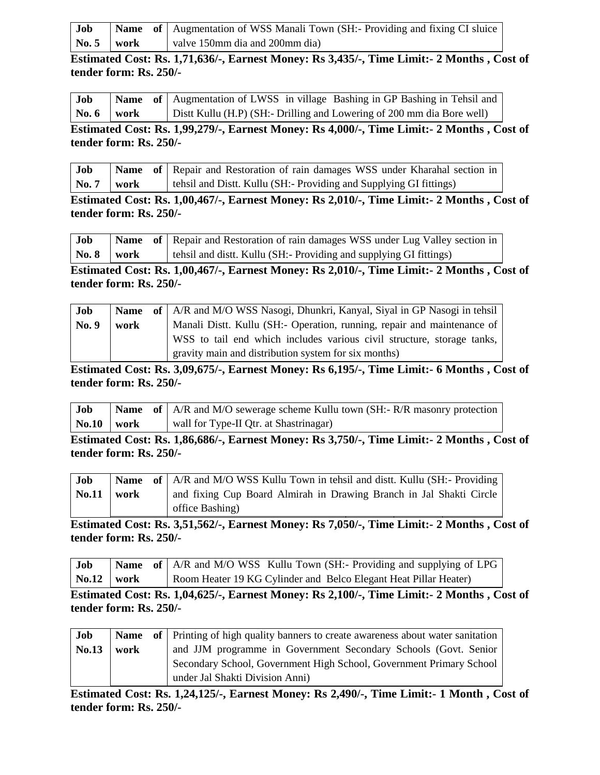| Job            |  | <b>Name</b> of Augmentation of WSS Manali Town (SH:- Providing and fixing CI sluice |
|----------------|--|-------------------------------------------------------------------------------------|
| No. $5$   work |  | valve 150mm dia and 200mm dia)                                                      |

**Estimated Cost: Rs. 1,71,636/-, Earnest Money: Rs 3,435/-, Time Limit:- 2 Months , Cost of tender form: Rs. 250/-**

| Job             |  | <b>Name</b> of Augmentation of LWSS in village Bashing in GP Bashing in Tehsil and |
|-----------------|--|------------------------------------------------------------------------------------|
| $\sqrt{6}$ work |  | Dist Kullu (H.P) (SH:- Drilling and Lowering of 200 mm dia Bore well)              |

**Estimated Cost: Rs. 1,99,279/-, Earnest Money: Rs 4,000/-, Time Limit:- 2 Months , Cost of tender form: Rs. 250/-**

| Job                 |  | Name of   Repair and Restoration of rain damages WSS under Kharahal section in |
|---------------------|--|--------------------------------------------------------------------------------|
| $\sqrt{N_0.7}$ work |  | tehsil and Distt. Kullu (SH:- Providing and Supplying GI fittings)             |

**Estimated Cost: Rs. 1,00,467/-, Earnest Money: Rs 2,010/-, Time Limit:- 2 Months , Cost of tender form: Rs. 250/-**

| Job                     |  | Name of Repair and Restoration of rain damages WSS under Lug Valley section in |
|-------------------------|--|--------------------------------------------------------------------------------|
| $\sqrt{8}$ No. 8   work |  | tehsil and distt. Kullu (SH:- Providing and supplying GI fittings)             |

**Estimated Cost: Rs. 1,00,467/-, Earnest Money: Rs 2,010/-, Time Limit:- 2 Months , Cost of tender form: Rs. 250/-**

| Job   |      | <b>Name</b> of   A/R and M/O WSS Nasogi, Dhunkri, Kanyal, Siyal in GP Nasogi in tehsil |
|-------|------|----------------------------------------------------------------------------------------|
| No. 9 | work | Manali Distt. Kullu (SH:- Operation, running, repair and maintenance of                |
|       |      | WSS to tail end which includes various civil structure, storage tanks,                 |
|       |      | gravity main and distribution system for six months)                                   |

**Estimated Cost: Rs. 3,09,675/-, Earnest Money: Rs 6,195/-, Time Limit:- 6 Months , Cost of tender form: Rs. 250/-**

| Job               |  | <b>Name</b> of $\mid$ A/R and M/O sewerage scheme Kullu town (SH:-R/R masonry protection |
|-------------------|--|------------------------------------------------------------------------------------------|
| $\bf{No.10}$ work |  | wall for Type-II Qtr. at Shastrinagar)                                                   |

**Estimated Cost: Rs. 1,86,686/-, Earnest Money: Rs 3,750/-, Time Limit:- 2 Months , Cost of tender form: Rs. 250/-**

| Job                   |  | <b>Name</b> of   A/R and M/O WSS Kullu Town in tehsil and dist. Kullu (SH:- Providing |
|-----------------------|--|---------------------------------------------------------------------------------------|
| $\text{No.}11$   work |  | and fixing Cup Board Almirah in Drawing Branch in Jal Shakti Circle                   |
|                       |  | office Bashing)                                                                       |

**Estimated Cost: Rs. 3,51,562/-, Earnest Money: Rs 7,050/-, Time Limit:- 2 Months , Cost of tender form: Rs. 250/-**

| Job                  |  | <b>Name</b> of $AR$ and M/O WSS Kullu Town (SH:- Providing and supplying of LPG |
|----------------------|--|---------------------------------------------------------------------------------|
| $\sqrt{N_0.12}$ work |  | Room Heater 19 KG Cylinder and Belco Elegant Heat Pillar Heater)                |

**Estimated Cost: Rs. 1,04,625/-, Earnest Money: Rs 2,100/-, Time Limit:- 2 Months , Cost of tender form: Rs. 250/-**

| Job   |      | Name of Printing of high quality banners to create awareness about water sanitation |
|-------|------|-------------------------------------------------------------------------------------|
| No.13 | work | and JJM programme in Government Secondary Schools (Govt. Senior                     |
|       |      | Secondary School, Government High School, Government Primary School                 |
|       |      | under Jal Shakti Division Anni)                                                     |

**Estimated Cost: Rs. 1,24,125/-, Earnest Money: Rs 2,490/-, Time Limit:- 1 Month , Cost of tender form: Rs. 250/-**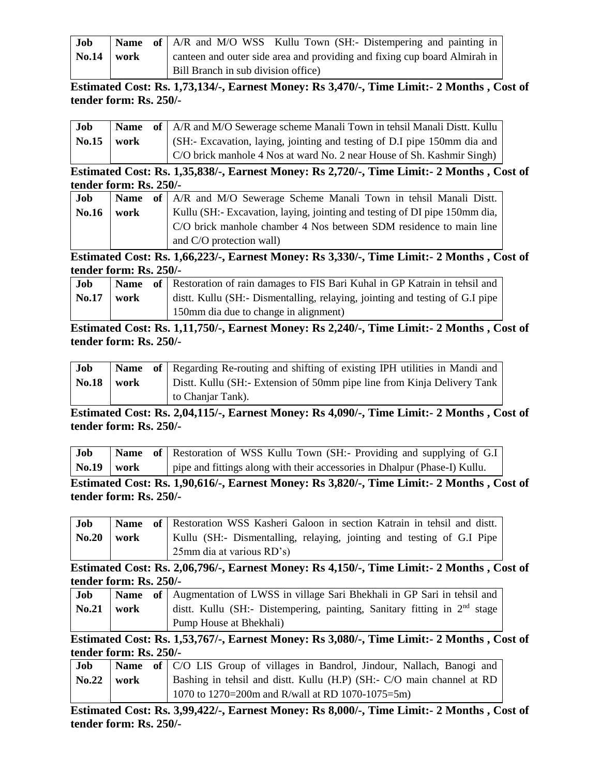| Job                 |  | <b>Name</b> of A/R and M/O WSS Kullu Town (SH:- Distempering and painting in |
|---------------------|--|------------------------------------------------------------------------------|
| $\text{No.14}$ work |  | canteen and outer side area and providing and fixing cup board Almirah in    |
|                     |  | Bill Branch in sub division office)                                          |

**Estimated Cost: Rs. 1,73,134/-, Earnest Money: Rs 3,470/-, Time Limit:- 2 Months , Cost of tender form: Rs. 250/-**

| Job          |      | <b>Name</b> of   A/R and M/O Sewerage scheme Manali Town in tehsil Manali Distt. Kullu |
|--------------|------|----------------------------------------------------------------------------------------|
| <b>No.15</b> | work | (SH:- Excavation, laying, jointing and testing of D.I pipe 150mm dia and               |
|              |      | C/O brick manhole 4 Nos at ward No. 2 near House of Sh. Kashmir Singh)                 |

**Estimated Cost: Rs. 1,35,838/-, Earnest Money: Rs 2,720/-, Time Limit:- 2 Months , Cost of tender form: Rs. 250/-**

| Job          |      | <b>Name</b> of A/R and M/O Sewerage Scheme Manali Town in tehsil Manali Distt. |
|--------------|------|--------------------------------------------------------------------------------|
| <b>No.16</b> | work | Kullu (SH:- Excavation, laying, jointing and testing of DI pipe 150mm dia,     |
|              |      | C/O brick manhole chamber 4 Nos between SDM residence to main line             |
|              |      | and C/O protection wall)                                                       |

**Estimated Cost: Rs. 1,66,223/-, Earnest Money: Rs 3,330/-, Time Limit:- 2 Months , Cost of tender form: Rs. 250/-**

| Job          |      | <b>Name</b> of Restoration of rain damages to FIS Bari Kuhal in GP Katrain in tehsil and |
|--------------|------|------------------------------------------------------------------------------------------|
| <b>No.17</b> | work | dist. Kullu (SH:- Dismentalling, relaying, jointing and testing of G.I pipe              |
|              |      | 150mm dia due to change in alignment)                                                    |

**Estimated Cost: Rs. 1,11,750/-, Earnest Money: Rs 2,240/-, Time Limit:- 2 Months , Cost of tender form: Rs. 250/-**

| Job          |      | <b>Name</b> of Regarding Re-routing and shifting of existing IPH utilities in Mandi and |
|--------------|------|-----------------------------------------------------------------------------------------|
| <b>No.18</b> | work | Distt. Kullu (SH:- Extension of 50mm pipe line from Kinja Delivery Tank                 |
|              |      | to Chanjar Tank).                                                                       |

**Estimated Cost: Rs. 2,04,115/-, Earnest Money: Rs 4,090/-, Time Limit:- 2 Months , Cost of tender form: Rs. 250/-**

| Job   |      | <b>Name</b> of Restoration of WSS Kullu Town (SH:- Providing and supplying of G.I) |
|-------|------|------------------------------------------------------------------------------------|
| No.19 | work | pipe and fittings along with their accessories in Dhalpur (Phase-I) Kullu.         |

**Estimated Cost: Rs. 1,90,616/-, Earnest Money: Rs 3,820/-, Time Limit:- 2 Months , Cost of tender form: Rs. 250/-**

| Job                   |  | Name of Restoration WSS Kasheri Galoon in section Katrain in tehsil and distt. |
|-----------------------|--|--------------------------------------------------------------------------------|
| $\text{No.}20$   work |  | Kullu (SH:- Dismentalling, relaying, jointing and testing of G.I Pipe          |
|                       |  | $25$ mm dia at various $RD's$                                                  |

**Estimated Cost: Rs. 2,06,796/-, Earnest Money: Rs 4,150/-, Time Limit:- 2 Months , Cost of tender form: Rs. 250/-**

| Job          |  | <b>Name</b> of Augmentation of LWSS in village Sari Bhekhali in GP Sari in tehsil and |
|--------------|--|---------------------------------------------------------------------------------------|
| $No.21$ work |  | dist. Kullu (SH:- Distempering, painting, Sanitary fitting in 2 <sup>nd</sup> stage   |
|              |  | Pump House at Bhekhali)                                                               |

**Estimated Cost: Rs. 1,53,767/-, Earnest Money: Rs 3,080/-, Time Limit:- 2 Months , Cost of tender form: Rs. 250/-**

| Job                 |  | Name of   C/O LIS Group of villages in Bandrol, Jindour, Nallach, Banogi and |
|---------------------|--|------------------------------------------------------------------------------|
| $\text{No.22}$ work |  | Bashing in tehsil and dist. Kullu (H.P) (SH:- C/O main channel at RD         |
|                     |  | 1070 to 1270=200m and R/wall at RD 1070-1075=5m)                             |

**Estimated Cost: Rs. 3,99,422/-, Earnest Money: Rs 8,000/-, Time Limit:- 2 Months , Cost of tender form: Rs. 250/-**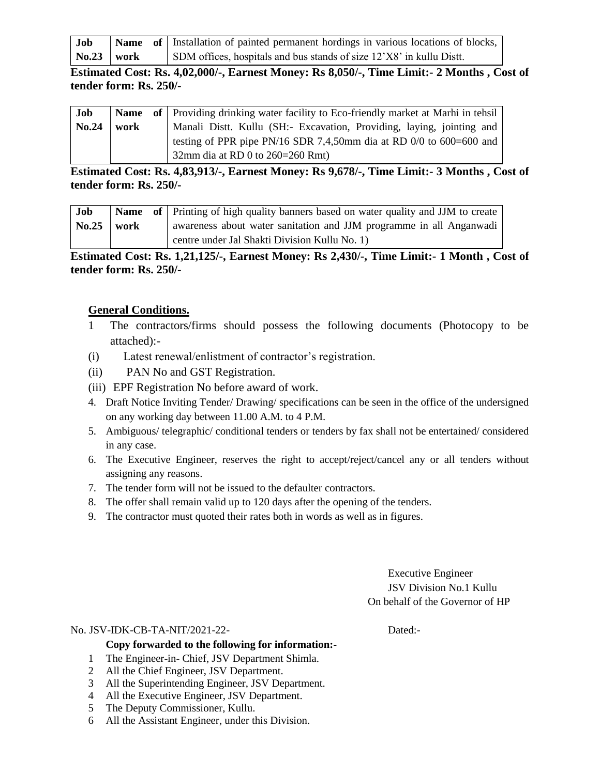| Job                 |  | Name of   Installation of painted permanent hordings in various locations of blocks, $\vert$ |
|---------------------|--|----------------------------------------------------------------------------------------------|
| $\text{No.23}$ work |  | SDM offices, hospitals and bus stands of size 12'X8' in kullu Distt.                         |

**Estimated Cost: Rs. 4,02,000/-, Earnest Money: Rs 8,050/-, Time Limit:- 2 Months , Cost of tender form: Rs. 250/-**

| Job   |      | <b>Name</b> of Providing drinking water facility to Eco-friendly market at Marhi in tehsil |
|-------|------|--------------------------------------------------------------------------------------------|
| No.24 | work | Manali Distt. Kullu (SH:- Excavation, Providing, laying, jointing and                      |
|       |      | testing of PPR pipe PN/16 SDR 7,4,50mm dia at RD 0/0 to 600=600 and                        |
|       |      | 32mm dia at RD 0 to $260=260$ Rmt)                                                         |

**Estimated Cost: Rs. 4,83,913/-, Earnest Money: Rs 9,678/-, Time Limit:- 3 Months , Cost of tender form: Rs. 250/-**

| Job                 |  | <b>Name</b> of Printing of high quality banners based on water quality and JJM to create |
|---------------------|--|------------------------------------------------------------------------------------------|
| $\text{No.25}$ work |  | awareness about water sanitation and JJM programme in all Anganwadi                      |
|                     |  | centre under Jal Shakti Division Kullu No. 1)                                            |

**Estimated Cost: Rs. 1,21,125/-, Earnest Money: Rs 2,430/-, Time Limit:- 1 Month , Cost of tender form: Rs. 250/-**

# **General Conditions.**

- 1 The contractors/firms should possess the following documents (Photocopy to be attached):-
- (i) Latest renewal/enlistment of contractor's registration.
- (ii) PAN No and GST Registration.
- (iii) EPF Registration No before award of work.
- 4. Draft Notice Inviting Tender/ Drawing/ specifications can be seen in the office of the undersigned on any working day between 11.00 A.M. to 4 P.M.
- 5. Ambiguous/ telegraphic/ conditional tenders or tenders by fax shall not be entertained/ considered in any case.
- 6. The Executive Engineer, reserves the right to accept/reject/cancel any or all tenders without assigning any reasons.
- 7. The tender form will not be issued to the defaulter contractors.
- 8. The offer shall remain valid up to 120 days after the opening of the tenders.
- 9. The contractor must quoted their rates both in words as well as in figures.

Executive Engineer JSV Division No.1 Kullu On behalf of the Governor of HP

#### No. JSV-IDK-CB-TA-NIT/2021-22- Dated:-

### **Copy forwarded to the following for information:-**

- 1 The Engineer-in- Chief, JSV Department Shimla.
- 2 All the Chief Engineer, JSV Department.
- 3 All the Superintending Engineer, JSV Department.
- 4 All the Executive Engineer, JSV Department.
- 5 The Deputy Commissioner, Kullu.
- 6 All the Assistant Engineer, under this Division.